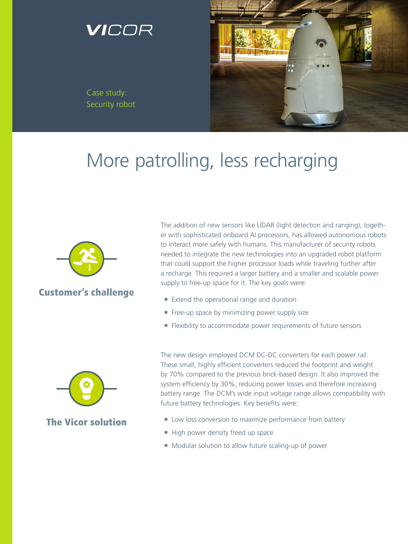## ICOR

Case study: Security robot



# More patrolling, less recharging



#### Customer's challenge

The addition of new sensors like LIDAR (light detection and ranging), together with sophisticated onboard AI processors, has allowed autonomous robots to interact more safely with humans. This manufacturer of security robots needed to integrate the new technologies into an upgraded robot platform that could support the higher processor loads while traveling further after a recharge. This required a larger battery and a smaller and scalable power supply to free-up space for it. The key goals were:

- Extend the operational range and duration
- Free-up space by minimizing power supply size
- **Flexibility to accommodate power requirements of future sensors**



#### The Vicor solution

The new design employed DCM DC-DC converters for each power rail. These small, highly efficient converters reduced the footprint and weight by 70% compared to the previous brick-based design. It also improved the system efficiency by 30%, reducing power losses and therefore increasing battery range. The DCM's wide input voltage range allows compatibility with future battery technologies. Key benefits were:

- Low loss conversion to maximize performance from battery
- High power density freed up space
- Modular solution to allow future scaling-up of power